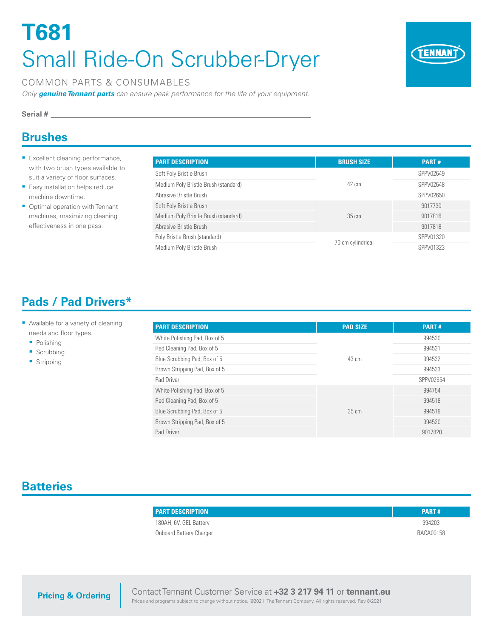# **T681** Small Ride-On Scrubber-Dryer



#### COMMON PARTS & CONSUMABLES

*Only genuine Tennant parts can ensure peak performance for the life of your equipment.*

#### **Serial #**

## **Brushes**

- **Excellent cleaning performance,** with two brush types available to suit a variety of floor surfaces.
- **Easy installation helps reduce** machine downtime.
- Optimal operation with Tennant machines, maximizing cleaning effectiveness in one pass.

| <b>PART DESCRIPTION</b>              | <b>BRUSH SIZE</b> | <b>PART#</b> |
|--------------------------------------|-------------------|--------------|
| Soft Poly Bristle Brush              |                   | SPPV02649    |
| Medium Poly Bristle Brush (standard) | 42 cm             | SPPV02648    |
| Abrasive Bristle Brush               |                   | SPPV02650    |
| Soft Poly Bristle Brush              |                   | 9017730      |
| Medium Poly Bristle Brush (standard) | $35 \text{ cm}$   | 9017816      |
| Abrasive Bristle Brush               |                   | 9017818      |
| Poly Bristle Brush (standard)        |                   | SPPV01320    |
| Medium Poly Bristle Brush            | 70 cm cylindrical | SPPV01323    |

# **Pads / Pad Drivers\***

#### **Available for a variety of cleaning** needs and floor types.

- Polishing
- **Scrubbing**
- **Stripping**

| <b>PART DESCRIPTION</b>       | <b>PAD SIZE</b> | <b>PART#</b> |
|-------------------------------|-----------------|--------------|
| White Polishing Pad, Box of 5 | 43 cm           | 994530       |
| Red Cleaning Pad, Box of 5    |                 | 994531       |
| Blue Scrubbing Pad, Box of 5  |                 | 994532       |
| Brown Stripping Pad, Box of 5 |                 | 994533       |
| Pad Driver                    |                 | SPPV02654    |
| White Polishing Pad, Box of 5 | $35 \text{ cm}$ | 994754       |
| Red Cleaning Pad, Box of 5    |                 | 994518       |
| Blue Scrubbing Pad, Box of 5  |                 | 994519       |
| Brown Stripping Pad, Box of 5 |                 | 994520       |
| Pad Driver                    |                 | 9017820      |

## **Batteries**

| <b>PART DESCRIPTION</b> | PART#     |
|-------------------------|-----------|
| 180AH, 6V, GEL Battery  | 994203    |
| Onboard Battery Charger | BACA00158 |